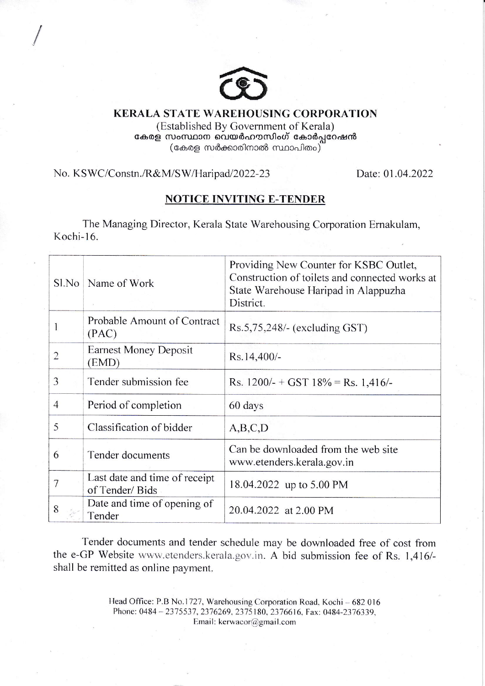

## KERALA STATE WAREHOUSING CORPORATION (Established By Government of Kerala) കേരള സംസ്ഥാന വെയർഹൗസിംഗ് കോർപ്പറേഷൻ  $(\mathrm{ca}$ കരള സർക്കാരിനാൽ സ്ഥാപിതം $)$

## No. KSWC/Constn./R&M/SW/Haripad/2022-23

/

Date: 0l .04.2022

# NOTICE INVITING E-TENDER

The Managing Director, Kerala State Warehousing Corporation Ernakulam, Kochi-16.

| $S1$ No        | Name of Work                                    | Providing New Counter for KSBC Outlet,<br>Construction of toilets and connected works at<br>State Warehouse Haripad in Alappuzha<br>District. |
|----------------|-------------------------------------------------|-----------------------------------------------------------------------------------------------------------------------------------------------|
|                | Probable Amount of Contract<br>(PAC)            | $Rs.5,75,248/-$ (excluding GST)                                                                                                               |
| $\overline{2}$ | <b>Earnest Money Deposit</b><br>(EMD)           | Rs.14,400/-                                                                                                                                   |
| 3              | Tender submission fee                           | Rs. $1200/- + GST$ 18% = Rs. 1,416/-                                                                                                          |
| 4              | Period of completion                            | 60 days                                                                                                                                       |
| 5              | Classification of bidder                        | A,B,C,D                                                                                                                                       |
| 6              | Tender documents                                | Can be downloaded from the web site<br>www.etenders.kerala.gov.in                                                                             |
| 7              | Last date and time of receipt<br>of Tender/Bids | 18.04.2022 up to 5.00 PM                                                                                                                      |
| 8              | Date and time of opening of<br>Tender           | 20.04.2022 at 2.00 PM                                                                                                                         |

Tender documents and tender schedule may be downloaded free of cost from the e-GP Website www.etenders.kerala.gov.in. A bid submission fee of Rs. 1,416/shall be remitted as online payment.

> Head Office: P.B No.1727, Warehousing Corporation Road, Kochi - 682 016 Phone: 0484 - 2375537, 2376269, 2375180, 2376616, Fax: 0484-2376339, Email: kerwacor@gmail.com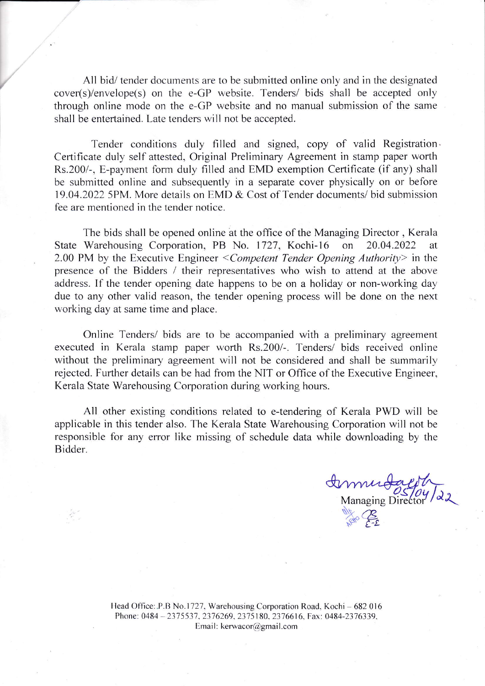All bid/ tender documents are to be submitted online only and in the designated  $cover(s)/envelope(s)$  on the e-GP website. Tenders/ bids shall be accepted only through online mode on the e-GP website and no manual submission of the same shall be entertained. Late tenders will not be accepted.

Tender conditions duly filled and signed, copy of valid Registration Certificate duly self attested, Original Preliminary Agreement in stamp paper worth Rs.200/-, E-payment form duly filled and EMD exemption Certificate (if any) shall be submitted online and subsequently in a separate cover physically on or before 19.04.2022 5PM. More details on EMD & Cost of Tender documents/ bid submission fee are mentioned in the tender notice.

The bids shall be opened online at the office of the Managing Director, Kerala State Warehousing Corporation, PB No. 1727, Kochi-16 on 20.04.2022 at 2.00 PM by the Executive Engineer  $\leq$  Competent Tender Opening Authority in the presence of the Bidders / their representatives who wish to attend at the above address. If the tender opening date happens to be on a holiday or non-working day due to any other valid reason, the tender opening process will be done on the next working day at same time and place.

Online Tenders/ bids are to be accompanied with a preliminary agreement executed in Kerala stamp paper worth Rs.200/-. Tenders/ bids received online without the preliminary agreement will not be considered and shall be summarily rejected. Further details can be had from the NIT or Office of the Executive Engineer, Kerala State Warehousing Corporation during working hours.

All other existing conditions related to e-tendering of Kerala PWD will be applicable in this tender also. The Kerala State Warehousing Corporation will not be responsible for any error like missing of schedule data while downloading by the Bidder.

Managing Director 22 Ny CE o

Head Office: P.B No.1727, Warehousing Corporation Road. Kochi – 682 016 Phone: 0484 - 2375537, 2376269, 2375180, 2376616, Fax: 0484-2376339, Email: kerwacor@gmail.com